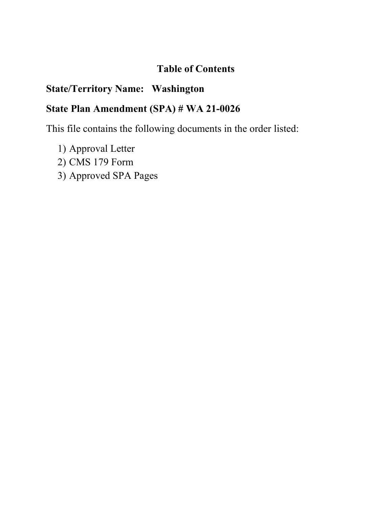# **Table of Contents**

# **State/Territory Name: Washington**

# **State Plan Amendment (SPA) # WA 21-0026**

This file contains the following documents in the order listed:

- 1) Approval Letter
- 2) CMS 179 Form
- 3) Approved SPA Pages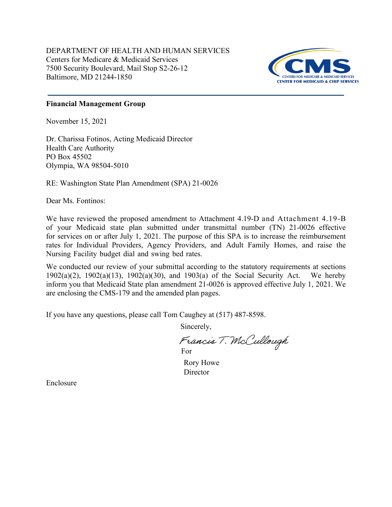DEPARTMENT OF HEALTH AND HUMAN SERVICES Centers for Medicare & Medicaid Services 7500 Security Boulevard, Mail Stop S2-26-12 Baltimore, MD 21244-1850



### **Financial Management Group**

November 15, 2021

Dr. Charissa Fotinos, Acting Medicaid Director Health Care Authority PO Box 45502 Olympia, WA 98504-5010

RE: Washington State Plan Amendment (SPA) 21-0026

Dear Ms. Fontinos:

We have reviewed the proposed amendment to Attachment 4.19-D and Attachment 4.19-B of your Medicaid state plan submitted under transmittal number (TN) 21-0026 effective for services on or after July 1, 2021. The purpose of this SPA is to increase the reimbursement rates for Individual Providers, Agency Providers, and Adult Family Homes, and raise the Nursing Facility budget dial and swing bed rates.

We conducted our review of your submittal according to the statutory requirements at sections 1902(a)(2), 1902(a)(13), 1902(a)(30), and 1903(a) of the Social Security Act. We hereby inform you that Medicaid State plan amendment 21-0026 is approved effective July 1, 2021. We are enclosing the CMS-179 and the amended plan pages.

If you have any questions, please call Tom Caughey at (517) 487-8598.

Sincerely,

Francis T. McCullough For

Rory Howe **Director** 

Enclosure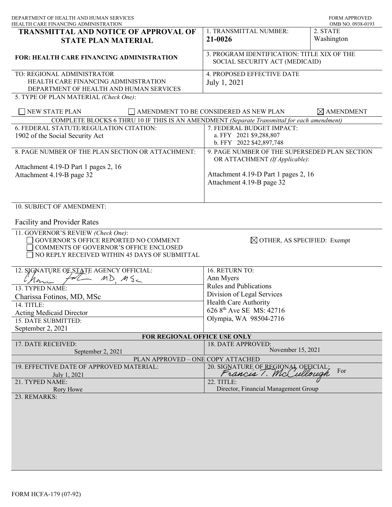| DEPARTMENT OF HEALTH AND HUMAN SERVICES<br><u>HEALTH CARE FINANCING ADMINISTRATION</u>                                                                                 |                                                                                 | <b>FORM APPROVED</b><br>OMB NO. 0938-0193 |
|------------------------------------------------------------------------------------------------------------------------------------------------------------------------|---------------------------------------------------------------------------------|-------------------------------------------|
| <b>TRANSMITTAL AND NOTICE OF APPROVAL OF</b><br><b>STATE PLAN MATERIAL</b>                                                                                             | 1. TRANSMITTAL NUMBER:<br>21-0026                                               | 2. STATE<br>Washington                    |
| <b>FOR: HEALTH CARE FINANCING ADMINISTRATION</b>                                                                                                                       | 3. PROGRAM IDENTIFICATION: TITLE XIX OF THE<br>SOCIAL SECURITY ACT (MEDICAID)   |                                           |
| TO: REGIONAL ADMINISTRATOR<br>HEALTH CARE FINANCING ADMINISTRATION<br>DEPARTMENT OF HEALTH AND HUMAN SERVICES<br>5. TYPE OF PLAN MATERIAL (Check One):                 | 4. PROPOSED EFFECTIVE DATE<br>July 1, 2021                                      |                                           |
| <b>NEW STATE PLAN</b>                                                                                                                                                  | $\Box$ AMENDMENT TO BE CONSIDERED AS NEW PLAN                                   | $\times$ AMENDMENT                        |
| COMPLETE BLOCKS 6 THRU 10 IF THIS IS AN AMENDMENT (Separate Transmittal for each amendment)                                                                            |                                                                                 |                                           |
| 6. FEDERAL STATUTE/REGULATION CITATION:                                                                                                                                | 7. FEDERAL BUDGET IMPACT:                                                       |                                           |
| 1902 of the Social Security Act                                                                                                                                        | a. FFY 2021 \$9,288,807<br>b. FFY 2022 \$42,897,748                             |                                           |
| 8. PAGE NUMBER OF THE PLAN SECTION OR ATTACHMENT:                                                                                                                      | 9. PAGE NUMBER OF THE SUPERSEDED PLAN SECTION<br>OR ATTACHMENT (If Applicable): |                                           |
| Attachment 4.19-D Part 1 pages 2, 16                                                                                                                                   |                                                                                 |                                           |
| Attachment 4.19-B page 32                                                                                                                                              | Attachment 4.19-D Part 1 pages 2, 16<br>Attachment 4.19-B page 32               |                                           |
| 10. SUBJECT OF AMENDMENT:                                                                                                                                              |                                                                                 |                                           |
| <b>Facility and Provider Rates</b>                                                                                                                                     |                                                                                 |                                           |
| 11. GOVERNOR'S REVIEW (Check One):<br>GOVERNOR'S OFFICE REPORTED NO COMMENT<br>COMMENTS OF GOVERNOR'S OFFICE ENCLOSED<br>NO REPLY RECEIVED WITHIN 45 DAYS OF SUBMITTAL | $\boxtimes$ OTHER, AS SPECIFIED: Exempt                                         |                                           |
| 12. SJGNATURE OF STATE AGENCY OFFICIAL:                                                                                                                                | 16. RETURN TO:                                                                  |                                           |
| $MDMS_c$                                                                                                                                                               | Ann Myers                                                                       |                                           |
| 13. TYPED NAME:                                                                                                                                                        | <b>Rules and Publications</b>                                                   |                                           |
| Charissa Fotinos, MD, MSc                                                                                                                                              | Division of Legal Services                                                      |                                           |
| 14. TITLE:                                                                                                                                                             | Health Care Authority                                                           |                                           |
| <b>Acting Medicaid Director</b>                                                                                                                                        | 626 8 <sup>th</sup> Ave SE MS: 42716                                            |                                           |
| 15. DATE SUBMITTED:                                                                                                                                                    | Olympia, WA 98504-2716                                                          |                                           |
| September 2, 2021                                                                                                                                                      |                                                                                 |                                           |
| FOR REGIONAL OFFICE USE ONLY                                                                                                                                           |                                                                                 |                                           |
| 17. DATE RECEIVED:<br>September 2, 2021                                                                                                                                | 18. DATE APPROVED:<br>November 15, 2021                                         |                                           |
| PLAN APPROVED - ONE COPY ATTACHED                                                                                                                                      |                                                                                 |                                           |
| 19. EFFECTIVE DATE OF APPROVED MATERIAL:<br>July 1, 2021                                                                                                               | 20. SIGNATURE OF REGIONAL OFFICIAL;<br>Francis 1. McCullough                    | For                                       |
| 21. TYPED NAME:                                                                                                                                                        | 22. TITLE:                                                                      |                                           |
| Rory Howe                                                                                                                                                              | Director, Financial Management Group                                            |                                           |
| 23. REMARKS:                                                                                                                                                           |                                                                                 |                                           |
|                                                                                                                                                                        |                                                                                 |                                           |
|                                                                                                                                                                        |                                                                                 |                                           |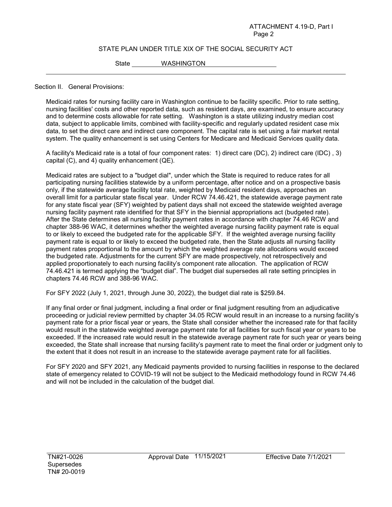#### STATE PLAN UNDER TITLE XIX OF THE SOCIAL SECURITY ACT

State WASHINGTON

#### Section II. General Provisions:

Medicaid rates for nursing facility care in Washington continue to be facility specific. Prior to rate setting, nursing facilities' costs and other reported data, such as resident days, are examined, to ensure accuracy and to determine costs allowable for rate setting. Washington is a state utilizing industry median cost data, subject to applicable limits, combined with facility-specific and regularly updated resident case mix data, to set the direct care and indirect care component. The capital rate is set using a fair market rental system. The quality enhancement is set using Centers for Medicare and Medicaid Services quality data.

A facility's Medicaid rate is a total of four component rates: 1) direct care (DC), 2) indirect care (IDC) , 3) capital (C), and 4) quality enhancement (QE).

Medicaid rates are subject to a "budget dial", under which the State is required to reduce rates for all participating nursing facilities statewide by a uniform percentage, after notice and on a prospective basis only, if the statewide average facility total rate, weighted by Medicaid resident days, approaches an overall limit for a particular state fiscal year. Under RCW 74.46.421, the statewide average payment rate for any state fiscal year (SFY) weighted by patient days shall not exceed the statewide weighted average nursing facility payment rate identified for that SFY in the biennial appropriations act (budgeted rate). After the State determines all nursing facility payment rates in accordance with chapter 74.46 RCW and chapter 388-96 WAC, it determines whether the weighted average nursing facility payment rate is equal to or likely to exceed the budgeted rate for the applicable SFY. If the weighted average nursing facility payment rate is equal to or likely to exceed the budgeted rate, then the State adjusts all nursing facility payment rates proportional to the amount by which the weighted average rate allocations would exceed the budgeted rate. Adjustments for the current SFY are made prospectively, not retrospectively and applied proportionately to each nursing facility's component rate allocation. The application of RCW 74.46.421 is termed applying the "budget dial". The budget dial supersedes all rate setting principles in chapters 74.46 RCW and 388-96 WAC.

For SFY 2022 (July 1, 2021, through June 30, 2022), the budget dial rate is \$259.84.

If any final order or final judgment, including a final order or final judgment resulting from an adjudicative proceeding or judicial review permitted by chapter 34.05 RCW would result in an increase to a nursing facility's payment rate for a prior fiscal year or years, the State shall consider whether the increased rate for that facility would result in the statewide weighted average payment rate for all facilities for such fiscal year or years to be exceeded. If the increased rate would result in the statewide average payment rate for such year or years being exceeded, the State shall increase that nursing facility's payment rate to meet the final order or judgment only to the extent that it does not result in an increase to the statewide average payment rate for all facilities.

For SFY 2020 and SFY 2021, any Medicaid payments provided to nursing facilities in response to the declared state of emergency related to COVID-19 will not be subject to the Medicaid methodology found in RCW 74.46 and will not be included in the calculation of the budget dial.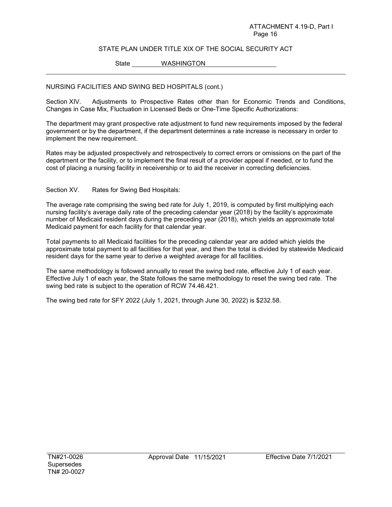#### ATTACHMENT 4.19-D, Part I Page 16

### STATE PLAN UNDER TITLE XIX OF THE SOCIAL SECURITY ACT

State WASHINGTON

### NURSING FACILITIES AND SWING BED HOSPITALS (cont.)

Section XIV. Adjustments to Prospective Rates other than for Economic Trends and Conditions, Changes in Case Mix, Fluctuation in Licensed Beds or One-Time Specific Authorizations:

The department may grant prospective rate adjustment to fund new requirements imposed by the federal government or by the department, if the department determines a rate increase is necessary in order to implement the new requirement.

Rates may be adjusted prospectively and retrospectively to correct errors or omissions on the part of the department or the facility, or to implement the final result of a provider appeal if needed, or to fund the cost of placing a nursing facility in receivership or to aid the receiver in correcting deficiencies.

Section XV. Rates for Swing Bed Hospitals:

The average rate comprising the swing bed rate for July 1, 2019, is computed by first multiplying each nursing facility's average daily rate of the preceding calendar year (2018) by the facility's approximate number of Medicaid resident days during the preceding year (2018), which yields an approximate total Medicaid payment for each facility for that calendar year.

Total payments to all Medicaid facilities for the preceding calendar year are added which yields the approximate total payment to all facilities for that year, and then the total is divided by statewide Medicaid resident days for the same year to derive a weighted average for all facilities.

The same methodology is followed annually to reset the swing bed rate, effective July 1 of each year. Effective July 1 of each year, the State follows the same methodology to reset the swing bed rate. The swing bed rate is subject to the operation of RCW 74.46.421.

The swing bed rate for SFY 2022 (July 1, 2021, through June 30, 2022) is \$232.58.